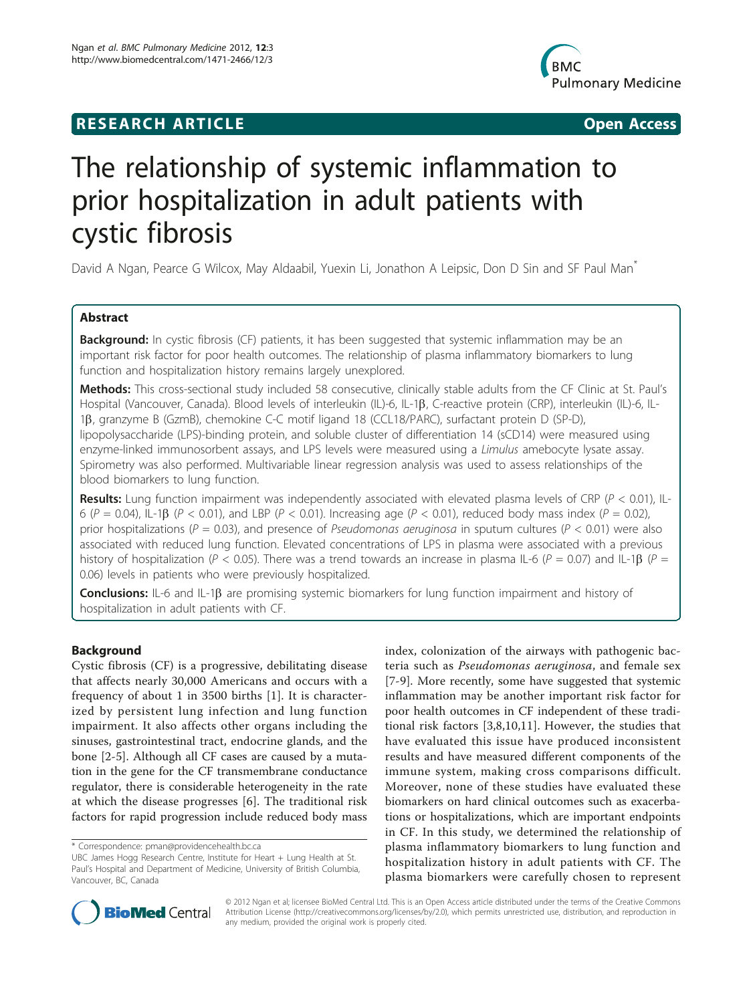## **RESEARCH ARTICLE CONSUMING ACCESS**



# The relationship of systemic inflammation to prior hospitalization in adult patients with cystic fibrosis

David A Ngan, Pearce G Wilcox, May Aldaabil, Yuexin Li, Jonathon A Leipsic, Don D Sin and SF Paul Man<sup>\*</sup>

## Abstract

Background: In cystic fibrosis (CF) patients, it has been suggested that systemic inflammation may be an important risk factor for poor health outcomes. The relationship of plasma inflammatory biomarkers to lung function and hospitalization history remains largely unexplored.

Methods: This cross-sectional study included 58 consecutive, clinically stable adults from the CF Clinic at St. Paul's Hospital (Vancouver, Canada). Blood levels of interleukin (IL)-6, IL-1 $\beta$ , C-reactive protein (CRP), interleukin (IL)-6, IL-1b, granzyme B (GzmB), chemokine C-C motif ligand 18 (CCL18/PARC), surfactant protein D (SP-D), lipopolysaccharide (LPS)-binding protein, and soluble cluster of differentiation 14 (sCD14) were measured using enzyme-linked immunosorbent assays, and LPS levels were measured using a *Limulus* amebocyte lysate assay. Spirometry was also performed. Multivariable linear regression analysis was used to assess relationships of the blood biomarkers to lung function.

Results: Lung function impairment was independently associated with elevated plasma levels of CRP ( $P < 0.01$ ), IL-6 ( $P = 0.04$ ), IL-1 $\beta$  ( $P < 0.01$ ), and LBP ( $P < 0.01$ ). Increasing age ( $P < 0.01$ ), reduced body mass index ( $P = 0.02$ ), prior hospitalizations ( $P = 0.03$ ), and presence of Pseudomonas aeruginosa in sputum cultures ( $P < 0.01$ ) were also associated with reduced lung function. Elevated concentrations of LPS in plasma were associated with a previous history of hospitalization (P < 0.05). There was a trend towards an increase in plasma IL-6 (P = 0.07) and IL-1 $\beta$  (P = 0.06) levels in patients who were previously hospitalized.

**Conclusions:** IL-6 and IL-1 $\beta$  are promising systemic biomarkers for lung function impairment and history of hospitalization in adult patients with CF.

#### Background

Cystic fibrosis (CF) is a progressive, debilitating disease that affects nearly 30,000 Americans and occurs with a frequency of about 1 in 3500 births [\[1](#page-6-0)]. It is characterized by persistent lung infection and lung function impairment. It also affects other organs including the sinuses, gastrointestinal tract, endocrine glands, and the bone [\[2](#page-6-0)-[5\]](#page-6-0). Although all CF cases are caused by a mutation in the gene for the CF transmembrane conductance regulator, there is considerable heterogeneity in the rate at which the disease progresses [[6](#page-6-0)]. The traditional risk factors for rapid progression include reduced body mass

index, colonization of the airways with pathogenic bacteria such as Pseudomonas aeruginosa, and female sex [[7-9](#page-6-0)]. More recently, some have suggested that systemic inflammation may be another important risk factor for poor health outcomes in CF independent of these traditional risk factors [\[3,8](#page-6-0),[10,11\]](#page-6-0). However, the studies that have evaluated this issue have produced inconsistent results and have measured different components of the immune system, making cross comparisons difficult. Moreover, none of these studies have evaluated these biomarkers on hard clinical outcomes such as exacerbations or hospitalizations, which are important endpoints in CF. In this study, we determined the relationship of plasma inflammatory biomarkers to lung function and hospitalization history in adult patients with CF. The plasma biomarkers were carefully chosen to represent



© 2012 Ngan et al; licensee BioMed Central Ltd. This is an Open Access article distributed under the terms of the Creative Commons Attribution License [\(http://creativecommons.org/licenses/by/2.0](http://creativecommons.org/licenses/by/2.0)), which permits unrestricted use, distribution, and reproduction in any medium, provided the original work is properly cited.

<sup>\*</sup> Correspondence: [pman@providencehealth.bc.ca](mailto:pman@providencehealth.bc.ca)

UBC James Hogg Research Centre, Institute for Heart + Lung Health at St. Paul's Hospital and Department of Medicine, University of British Columbia, Vancouver, BC, Canada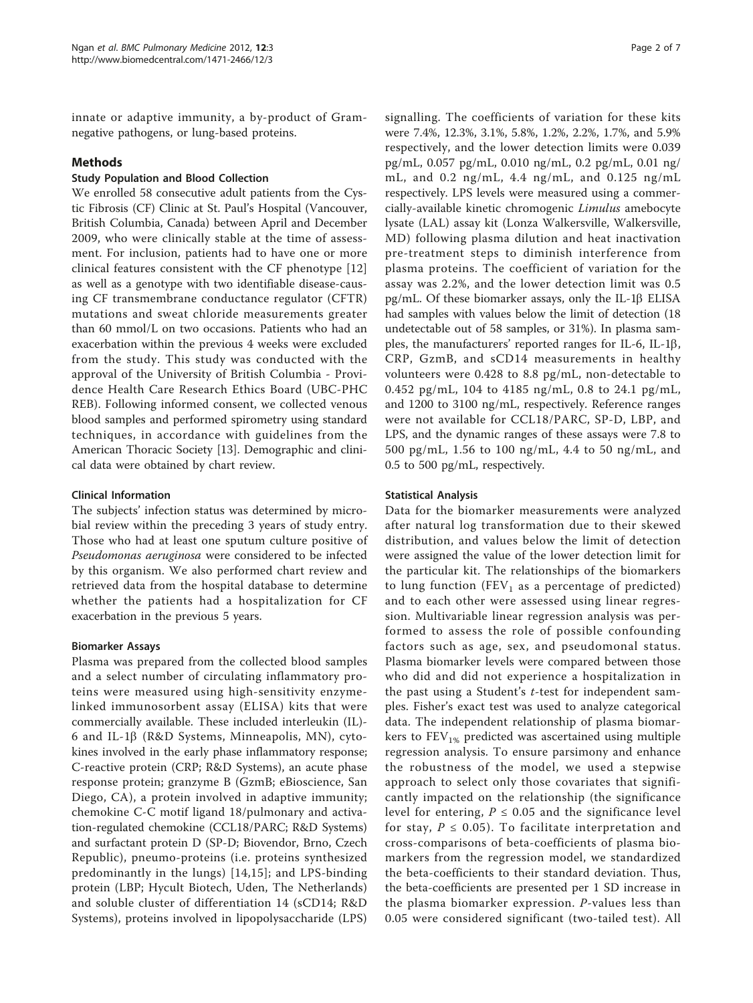innate or adaptive immunity, a by-product of Gramnegative pathogens, or lung-based proteins.

#### Methods

#### Study Population and Blood Collection

We enrolled 58 consecutive adult patients from the Cystic Fibrosis (CF) Clinic at St. Paul's Hospital (Vancouver, British Columbia, Canada) between April and December 2009, who were clinically stable at the time of assessment. For inclusion, patients had to have one or more clinical features consistent with the CF phenotype [\[12](#page-6-0)] as well as a genotype with two identifiable disease-causing CF transmembrane conductance regulator (CFTR) mutations and sweat chloride measurements greater than 60 mmol/L on two occasions. Patients who had an exacerbation within the previous 4 weeks were excluded from the study. This study was conducted with the approval of the University of British Columbia - Providence Health Care Research Ethics Board (UBC-PHC REB). Following informed consent, we collected venous blood samples and performed spirometry using standard techniques, in accordance with guidelines from the American Thoracic Society [[13\]](#page-6-0). Demographic and clinical data were obtained by chart review.

#### Clinical Information

The subjects' infection status was determined by microbial review within the preceding 3 years of study entry. Those who had at least one sputum culture positive of Pseudomonas aeruginosa were considered to be infected by this organism. We also performed chart review and retrieved data from the hospital database to determine whether the patients had a hospitalization for CF exacerbation in the previous 5 years.

#### Biomarker Assays

Plasma was prepared from the collected blood samples and a select number of circulating inflammatory proteins were measured using high-sensitivity enzymelinked immunosorbent assay (ELISA) kits that were commercially available. These included interleukin (IL)- 6 and IL-1b (R&D Systems, Minneapolis, MN), cytokines involved in the early phase inflammatory response; C-reactive protein (CRP; R&D Systems), an acute phase response protein; granzyme B (GzmB; eBioscience, San Diego, CA), a protein involved in adaptive immunity; chemokine C-C motif ligand 18/pulmonary and activation-regulated chemokine (CCL18/PARC; R&D Systems) and surfactant protein D (SP-D; Biovendor, Brno, Czech Republic), pneumo-proteins (i.e. proteins synthesized predominantly in the lungs) [[14,15\]](#page-6-0); and LPS-binding protein (LBP; Hycult Biotech, Uden, The Netherlands) and soluble cluster of differentiation 14 (sCD14; R&D Systems), proteins involved in lipopolysaccharide (LPS)

signalling. The coefficients of variation for these kits were 7.4%, 12.3%, 3.1%, 5.8%, 1.2%, 2.2%, 1.7%, and 5.9% respectively, and the lower detection limits were 0.039 pg/mL, 0.057 pg/mL, 0.010 ng/mL, 0.2 pg/mL, 0.01 ng/ mL, and 0.2 ng/mL, 4.4 ng/mL, and 0.125 ng/mL respectively. LPS levels were measured using a commercially-available kinetic chromogenic Limulus amebocyte lysate (LAL) assay kit (Lonza Walkersville, Walkersville, MD) following plasma dilution and heat inactivation pre-treatment steps to diminish interference from plasma proteins. The coefficient of variation for the assay was 2.2%, and the lower detection limit was 0.5 pg/mL. Of these biomarker assays, only the IL-1 $\beta$  ELISA had samples with values below the limit of detection (18 undetectable out of 58 samples, or 31%). In plasma samples, the manufacturers' reported ranges for IL-6, IL-1b, CRP, GzmB, and sCD14 measurements in healthy volunteers were 0.428 to 8.8 pg/mL, non-detectable to 0.452 pg/mL, 104 to 4185 ng/mL, 0.8 to 24.1 pg/mL, and 1200 to 3100 ng/mL, respectively. Reference ranges were not available for CCL18/PARC, SP-D, LBP, and LPS, and the dynamic ranges of these assays were 7.8 to 500 pg/mL, 1.56 to 100 ng/mL, 4.4 to 50 ng/mL, and 0.5 to 500 pg/mL, respectively.

#### Statistical Analysis

Data for the biomarker measurements were analyzed after natural log transformation due to their skewed distribution, and values below the limit of detection were assigned the value of the lower detection limit for the particular kit. The relationships of the biomarkers to lung function (FEV<sub>1</sub> as a percentage of predicted) and to each other were assessed using linear regression. Multivariable linear regression analysis was performed to assess the role of possible confounding factors such as age, sex, and pseudomonal status. Plasma biomarker levels were compared between those who did and did not experience a hospitalization in the past using a Student's t-test for independent samples. Fisher's exact test was used to analyze categorical data. The independent relationship of plasma biomarkers to  $FEV<sub>1%</sub>$  predicted was ascertained using multiple regression analysis. To ensure parsimony and enhance the robustness of the model, we used a stepwise approach to select only those covariates that significantly impacted on the relationship (the significance level for entering,  $P \le 0.05$  and the significance level for stay,  $P \leq 0.05$ ). To facilitate interpretation and cross-comparisons of beta-coefficients of plasma biomarkers from the regression model, we standardized the beta-coefficients to their standard deviation. Thus, the beta-coefficients are presented per 1 SD increase in the plasma biomarker expression. P-values less than 0.05 were considered significant (two-tailed test). All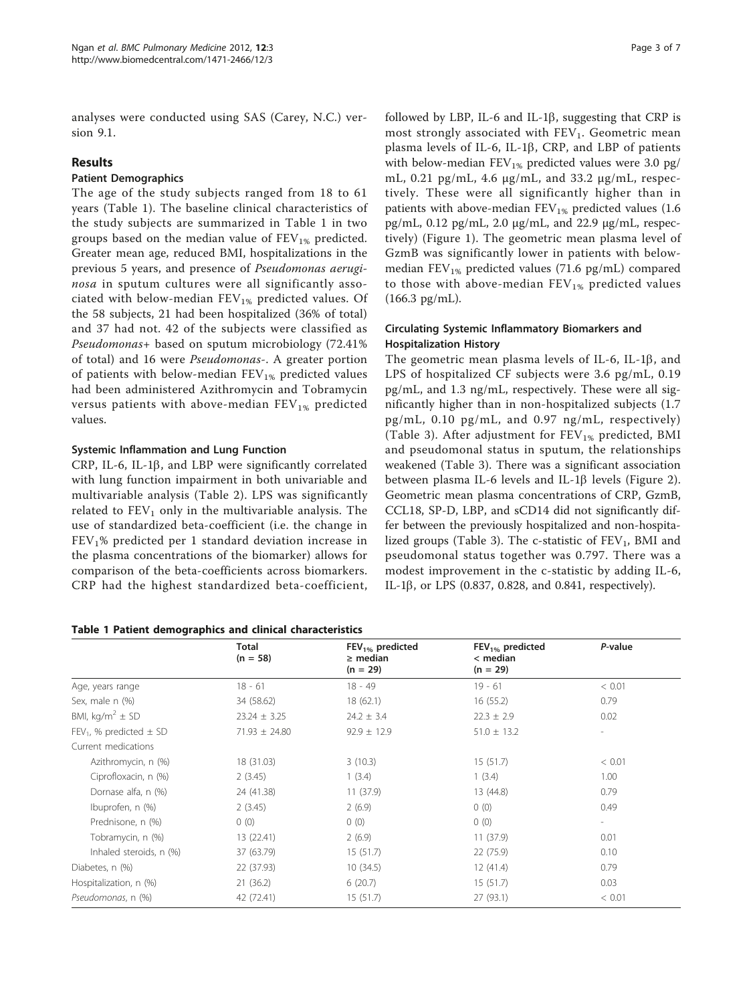analyses were conducted using SAS (Carey, N.C.) version 9.1.

#### Results

## Patient Demographics

The age of the study subjects ranged from 18 to 61 years (Table 1). The baseline clinical characteristics of the study subjects are summarized in Table 1 in two groups based on the median value of  $FEV_{1%}$  predicted. Greater mean age, reduced BMI, hospitalizations in the previous 5 years, and presence of Pseudomonas aeruginosa in sputum cultures were all significantly associated with below-median  $FEV_{1%}$  predicted values. Of the 58 subjects, 21 had been hospitalized (36% of total) and 37 had not. 42 of the subjects were classified as Pseudomonas+ based on sputum microbiology (72.41% of total) and 16 were Pseudomonas-. A greater portion of patients with below-median  $FEV_{1%}$  predicted values had been administered Azithromycin and Tobramycin versus patients with above-median  $FEV_{1%}$  predicted values.

## Systemic Inflammation and Lung Function

CRP, IL-6, IL-1 $\beta$ , and LBP were significantly correlated with lung function impairment in both univariable and multivariable analysis (Table [2\)](#page-3-0). LPS was significantly related to  $FEV<sub>1</sub>$  only in the multivariable analysis. The use of standardized beta-coefficient (i.e. the change in  $FEV<sub>1</sub>%$  predicted per 1 standard deviation increase in the plasma concentrations of the biomarker) allows for comparison of the beta-coefficients across biomarkers. CRP had the highest standardized beta-coefficient,

Table 1 Patient demographics and clinical characteristics

followed by LBP, IL-6 and IL-1 $\beta$ , suggesting that CRP is most strongly associated with  $FEV<sub>1</sub>$ . Geometric mean plasma levels of IL-6, IL-1 $\beta$ , CRP, and LBP of patients with below-median  $FEV_{1%}$  predicted values were 3.0 pg/ mL, 0.21 pg/mL, 4.6 μg/mL, and 33.2 μg/mL, respectively. These were all significantly higher than in patients with above-median  $FEV_{1%}$  predicted values (1.6) pg/mL, 0.12 pg/mL, 2.0 μg/mL, and 22.9 μg/mL, respectively) (Figure [1](#page-4-0)). The geometric mean plasma level of GzmB was significantly lower in patients with belowmedian  $FEV_{1%}$  predicted values (71.6 pg/mL) compared to those with above-median  $FEV_{1%}$  predicted values (166.3 pg/mL).

## Circulating Systemic Inflammatory Biomarkers and Hospitalization History

The geometric mean plasma levels of IL-6, IL-1 $\beta$ , and LPS of hospitalized CF subjects were 3.6 pg/mL, 0.19 pg/mL, and 1.3 ng/mL, respectively. These were all significantly higher than in non-hospitalized subjects (1.7 pg/mL, 0.10 pg/mL, and 0.97 ng/mL, respectively) (Table [3\)](#page-5-0). After adjustment for  $FEV_{1%}$  predicted, BMI and pseudomonal status in sputum, the relationships weakened (Table [3\)](#page-5-0). There was a significant association between plasma IL-6 levels and IL-1 $\beta$  levels (Figure [2](#page-5-0)). Geometric mean plasma concentrations of CRP, GzmB, CCL18, SP-D, LBP, and sCD14 did not significantly differ between the previously hospitalized and non-hospita-lized groups (Table [3](#page-5-0)). The c-statistic of  $FEV_1$ , BMI and pseudomonal status together was 0.797. There was a modest improvement in the c-statistic by adding IL-6, IL-1 $\beta$ , or LPS (0.837, 0.828, and 0.841, respectively).

|                                 | <b>Total</b><br>$(n = 58)$ | $FEV1%$ predicted<br>$\geq$ median<br>$(n = 29)$ | $FEV1%$ predicted<br>$<$ median<br>$(n = 29)$ | P-value                  |
|---------------------------------|----------------------------|--------------------------------------------------|-----------------------------------------------|--------------------------|
| Age, years range                | $18 - 61$                  | $18 - 49$                                        | $19 - 61$                                     | < 0.01                   |
| Sex, male n (%)                 | 34 (58.62)                 | 18(62.1)                                         | 16(55.2)                                      | 0.79                     |
| BMI, kg/m <sup>2</sup> $\pm$ SD | $23.24 \pm 3.25$           | $24.2 \pm 3.4$                                   | $22.3 \pm 2.9$                                | 0.02                     |
| $FEV_1$ , % predicted $\pm$ SD  | $71.93 \pm 24.80$          | $92.9 \pm 12.9$                                  | $51.0 \pm 13.2$                               | $\overline{\phantom{a}}$ |
| Current medications             |                            |                                                  |                                               |                          |
| Azithromycin, n (%)             | 18 (31.03)                 | 3(10.3)                                          | 15(51.7)                                      | < 0.01                   |
| Ciprofloxacin, n (%)            | 2(3.45)                    | 1(3.4)                                           | 1(3.4)                                        | 1.00                     |
| Dornase alfa, n (%)             | 24 (41.38)                 | 11(37.9)                                         | 13 (44.8)                                     | 0.79                     |
| Ibuprofen, n (%)                | 2(3.45)                    | 2(6.9)                                           | 0(0)                                          | 0.49                     |
| Prednisone, n (%)               | 0(0)                       | 0(0)                                             | 0(0)                                          | $\overline{\phantom{a}}$ |
| Tobramycin, n (%)               | 13 (22.41)                 | 2(6.9)                                           | 11(37.9)                                      | 0.01                     |
| Inhaled steroids, n (%)         | 37 (63.79)                 | 15(51.7)                                         | 22(75.9)                                      | 0.10                     |
| Diabetes, n (%)                 | 22 (37.93)                 | 10(34.5)                                         | 12(41.4)                                      | 0.79                     |
| Hospitalization, n (%)          | 21(36.2)                   | 6(20.7)                                          | 15(51.7)                                      | 0.03                     |
| Pseudomonas, n (%)              | 42 (72.41)                 | 15(51.7)                                         | 27 (93.1)                                     | < 0.01                   |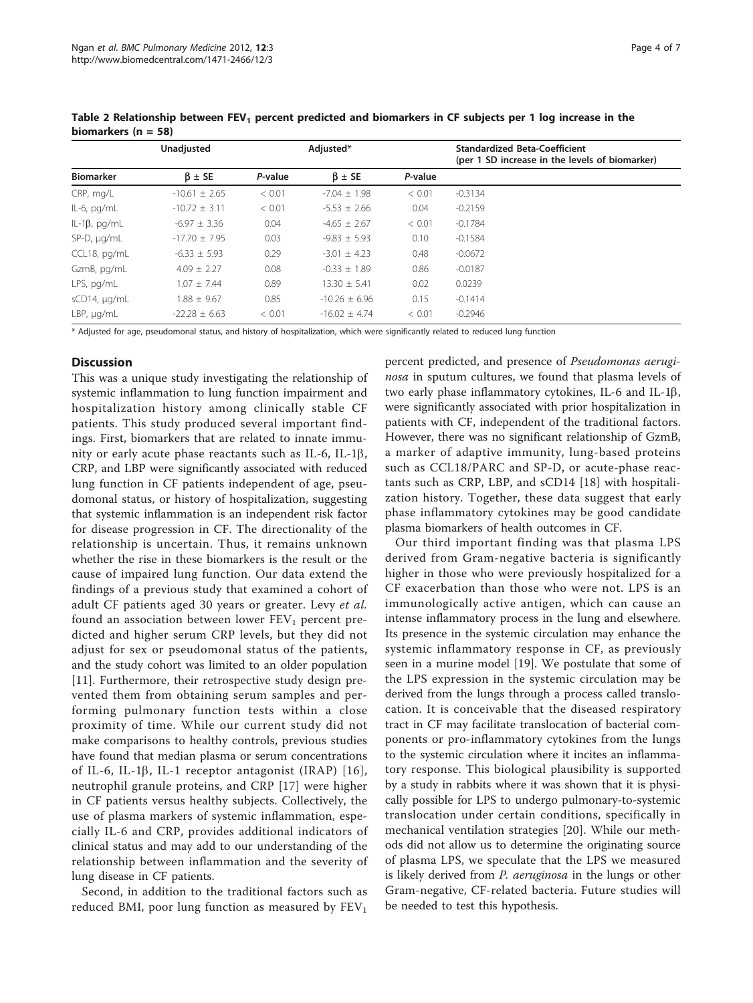|                      | Unadjusted        |         | Adjusted*         |         | <b>Standardized Beta-Coefficient</b><br>(per 1 SD increase in the levels of biomarker) |
|----------------------|-------------------|---------|-------------------|---------|----------------------------------------------------------------------------------------|
| <b>Biomarker</b>     | $\beta \pm SE$    | P-value | $\beta \pm SE$    | P-value |                                                                                        |
| CRP, mg/L            | $-10.61 \pm 2.65$ | < 0.01  | $-7.04 \pm 1.98$  | < 0.01  | $-0.3134$                                                                              |
| $IL-6$ , pg/m $L$    | $-10.72 \pm 3.11$ | < 0.01  | $-5.53 \pm 2.66$  | 0.04    | $-0.2159$                                                                              |
| IL-1 $\beta$ , pg/mL | $-6.97 \pm 3.36$  | 0.04    | $-4.65 \pm 2.67$  | < 0.01  | $-0.1784$                                                                              |
| SP-D, µg/mL          | $-17.70 \pm 7.95$ | 0.03    | $-9.83 \pm 5.93$  | 0.10    | $-0.1584$                                                                              |
| CCL18, pg/mL         | $-6.33 \pm 5.93$  | 0.29    | $-3.01 \pm 4.23$  | 0.48    | $-0.0672$                                                                              |
| GzmB, pg/mL          | $4.09 \pm 2.27$   | 0.08    | $-0.33 \pm 1.89$  | 0.86    | $-0.0187$                                                                              |
| LPS, pg/mL           | $1.07 \pm 7.44$   | 0.89    | $13.30 \pm 5.41$  | 0.02    | 0.0239                                                                                 |
| sCD14, µg/mL         | $1.88 \pm 9.67$   | 0.85    | $-10.26 \pm 6.96$ | 0.15    | $-0.1414$                                                                              |
| $LBP$ , $\mu q/mL$   | $-22.28 \pm 6.63$ | < 0.01  | $-16.02 + 4.74$   | < 0.01  | $-0.2946$                                                                              |

<span id="page-3-0"></span>Table 2 Relationship between  $FEV<sub>1</sub>$  percent predicted and biomarkers in CF subjects per 1 log increase in the biomarkers ( $n = 58$ )

\* Adjusted for age, pseudomonal status, and history of hospitalization, which were significantly related to reduced lung function

## **Discussion**

This was a unique study investigating the relationship of systemic inflammation to lung function impairment and hospitalization history among clinically stable CF patients. This study produced several important findings. First, biomarkers that are related to innate immunity or early acute phase reactants such as IL-6, IL-1 $\beta$ , CRP, and LBP were significantly associated with reduced lung function in CF patients independent of age, pseudomonal status, or history of hospitalization, suggesting that systemic inflammation is an independent risk factor for disease progression in CF. The directionality of the relationship is uncertain. Thus, it remains unknown whether the rise in these biomarkers is the result or the cause of impaired lung function. Our data extend the findings of a previous study that examined a cohort of adult CF patients aged 30 years or greater. Levy et al. found an association between lower  $FEV<sub>1</sub>$  percent predicted and higher serum CRP levels, but they did not adjust for sex or pseudomonal status of the patients, and the study cohort was limited to an older population [[11\]](#page-6-0). Furthermore, their retrospective study design prevented them from obtaining serum samples and performing pulmonary function tests within a close proximity of time. While our current study did not make comparisons to healthy controls, previous studies have found that median plasma or serum concentrations of IL-6, IL-1 $\beta$ , IL-1 receptor antagonist (IRAP) [[16\]](#page-6-0), neutrophil granule proteins, and CRP [[17\]](#page-6-0) were higher in CF patients versus healthy subjects. Collectively, the use of plasma markers of systemic inflammation, especially IL-6 and CRP, provides additional indicators of clinical status and may add to our understanding of the relationship between inflammation and the severity of lung disease in CF patients.

Second, in addition to the traditional factors such as reduced BMI, poor lung function as measured by  $FEV<sub>1</sub>$  percent predicted, and presence of Pseudomonas aeruginosa in sputum cultures, we found that plasma levels of two early phase inflammatory cytokines, IL-6 and IL-1b, were significantly associated with prior hospitalization in patients with CF, independent of the traditional factors. However, there was no significant relationship of GzmB, a marker of adaptive immunity, lung-based proteins such as CCL18/PARC and SP-D, or acute-phase reactants such as CRP, LBP, and sCD14 [[18\]](#page-6-0) with hospitalization history. Together, these data suggest that early phase inflammatory cytokines may be good candidate plasma biomarkers of health outcomes in CF.

Our third important finding was that plasma LPS derived from Gram-negative bacteria is significantly higher in those who were previously hospitalized for a CF exacerbation than those who were not. LPS is an immunologically active antigen, which can cause an intense inflammatory process in the lung and elsewhere. Its presence in the systemic circulation may enhance the systemic inflammatory response in CF, as previously seen in a murine model [[19\]](#page-6-0). We postulate that some of the LPS expression in the systemic circulation may be derived from the lungs through a process called translocation. It is conceivable that the diseased respiratory tract in CF may facilitate translocation of bacterial components or pro-inflammatory cytokines from the lungs to the systemic circulation where it incites an inflammatory response. This biological plausibility is supported by a study in rabbits where it was shown that it is physically possible for LPS to undergo pulmonary-to-systemic translocation under certain conditions, specifically in mechanical ventilation strategies [\[20](#page-6-0)]. While our methods did not allow us to determine the originating source of plasma LPS, we speculate that the LPS we measured is likely derived from P. aeruginosa in the lungs or other Gram-negative, CF-related bacteria. Future studies will be needed to test this hypothesis.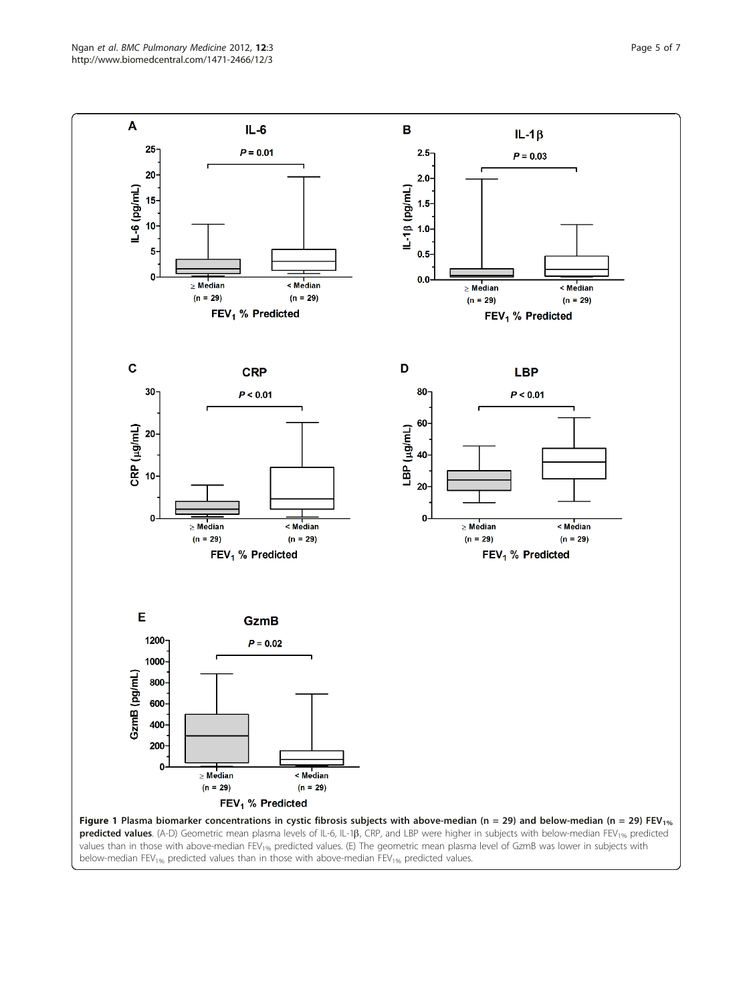<span id="page-4-0"></span>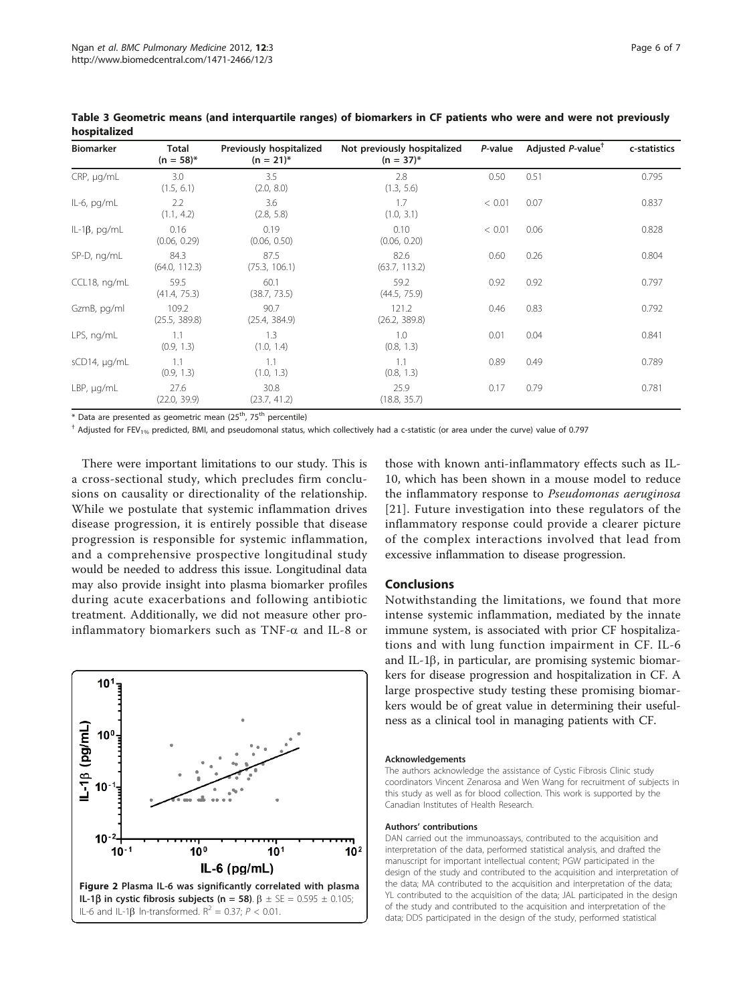| <b>Biomarker</b>    | Total<br>$(n = 58)^{*}$ | Previously hospitalized<br>$(n = 21)^{*}$ | Not previously hospitalized<br>$(n = 37)^{*}$ | P-value | Adjusted P-value <sup>†</sup> | c-statistics |
|---------------------|-------------------------|-------------------------------------------|-----------------------------------------------|---------|-------------------------------|--------------|
| CRP, µg/mL          | 3.0<br>(1.5, 6.1)       | 3.5<br>(2.0, 8.0)                         | 2.8<br>(1.3, 5.6)                             | 0.50    | 0.51                          | 0.795        |
| IL-6, pg/mL         | 2.2<br>(1.1, 4.2)       | 3.6<br>(2.8, 5.8)                         | 1.7<br>(1.0, 3.1)                             | < 0.01  | 0.07                          | 0.837        |
| $IL-1\beta$ , pg/mL | 0.16<br>(0.06, 0.29)    | 0.19<br>(0.06, 0.50)                      | 0.10<br>(0.06, 0.20)                          | < 0.01  | 0.06                          | 0.828        |
| SP-D, ng/mL         | 84.3<br>(64.0, 112.3)   | 87.5<br>(75.3, 106.1)                     | 82.6<br>(63.7, 113.2)                         | 0.60    | 0.26                          | 0.804        |
| CCL18, ng/mL        | 59.5<br>(41.4, 75.3)    | 60.1<br>(38.7, 73.5)                      | 59.2<br>(44.5, 75.9)                          | 0.92    | 0.92                          | 0.797        |
| GzmB, pg/ml         | 109.2<br>(25.5, 389.8)  | 90.7<br>(25.4, 384.9)                     | 121.2<br>(26.2, 389.8)                        | 0.46    | 0.83                          | 0.792        |
| LPS, ng/mL          | 1.1<br>(0.9, 1.3)       | 1.3<br>(1.0, 1.4)                         | 1.0<br>(0.8, 1.3)                             | 0.01    | 0.04                          | 0.841        |
| sCD14, µg/mL        | 1.1<br>(0.9, 1.3)       | 1.1<br>(1.0, 1.3)                         | 1.1<br>(0.8, 1.3)                             | 0.89    | 0.49                          | 0.789        |
| $LBP$ , $\mu q/mL$  | 27.6<br>(22.0, 39.9)    | 30.8<br>(23.7, 41.2)                      | 25.9<br>(18.8, 35.7)                          | 0.17    | 0.79                          | 0.781        |

<span id="page-5-0"></span>Table 3 Geometric means (and interquartile ranges) of biomarkers in CF patients who were and were not previously hospitalized

 $*$  Data are presented as geometric mean (25<sup>th</sup>, 75<sup>th</sup> percentile)

 $^+$  Adjusted for FEV<sub>1%</sub> predicted, BMI, and pseudomonal status, which collectively had a c-statistic (or area under the curve) value of 0.797

There were important limitations to our study. This is a cross-sectional study, which precludes firm conclusions on causality or directionality of the relationship. While we postulate that systemic inflammation drives disease progression, it is entirely possible that disease progression is responsible for systemic inflammation, and a comprehensive prospective longitudinal study would be needed to address this issue. Longitudinal data may also provide insight into plasma biomarker profiles during acute exacerbations and following antibiotic treatment. Additionally, we did not measure other proinflammatory biomarkers such as TNF- $\alpha$  and IL-8 or



those with known anti-inflammatory effects such as IL-10, which has been shown in a mouse model to reduce the inflammatory response to Pseudomonas aeruginosa [[21\]](#page-6-0). Future investigation into these regulators of the inflammatory response could provide a clearer picture of the complex interactions involved that lead from excessive inflammation to disease progression.

#### Conclusions

Notwithstanding the limitations, we found that more intense systemic inflammation, mediated by the innate immune system, is associated with prior CF hospitalizations and with lung function impairment in CF. IL-6 and IL-1 $\beta$ , in particular, are promising systemic biomarkers for disease progression and hospitalization in CF. A large prospective study testing these promising biomarkers would be of great value in determining their usefulness as a clinical tool in managing patients with CF.

#### Acknowledgements

The authors acknowledge the assistance of Cystic Fibrosis Clinic study coordinators Vincent Zenarosa and Wen Wang for recruitment of subjects in this study as well as for blood collection. This work is supported by the Canadian Institutes of Health Research.

#### Authors' contributions

DAN carried out the immunoassays, contributed to the acquisition and interpretation of the data, performed statistical analysis, and drafted the manuscript for important intellectual content; PGW participated in the design of the study and contributed to the acquisition and interpretation of the data; MA contributed to the acquisition and interpretation of the data; YL contributed to the acquisition of the data; JAL participated in the design of the study and contributed to the acquisition and interpretation of the data; DDS participated in the design of the study, performed statistical